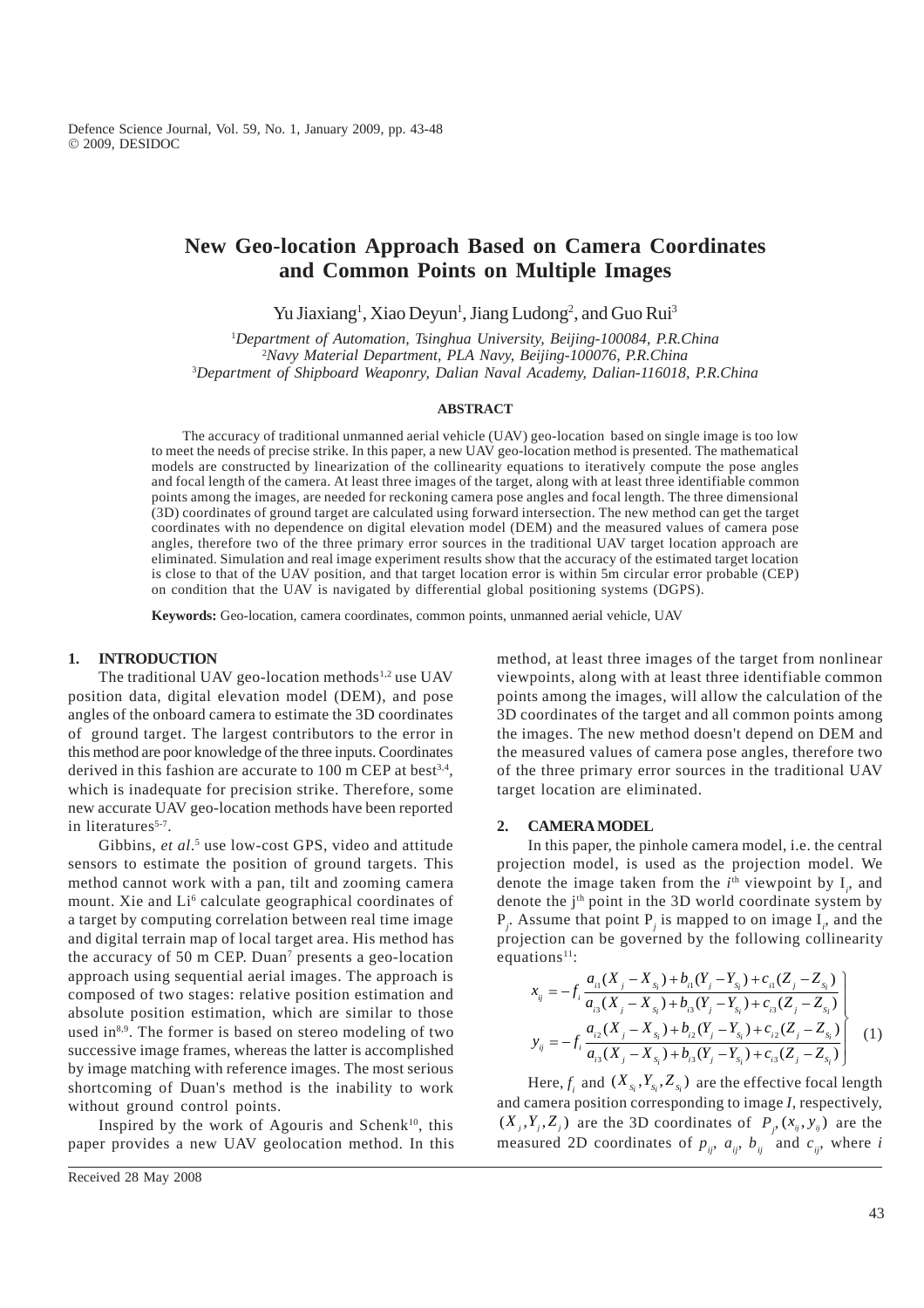# **New Geo-location Approach Based on Camera Coordinates and Common Points on Multiple Images**

Yu Jiaxiang<sup>1</sup>, Xiao Deyun<sup>1</sup>, Jiang Ludong<sup>2</sup>, and Guo Rui<sup>3</sup>

1 *Department of Automation, Tsinghua University, Beijing-100084, P.R.China* 2 *Navy Material Department, PLA Navy, Beijing-100076, P.R.China* 3 *Department of Shipboard Weaponry, Dalian Naval Academy, Dalian-116018, P.R.China*

#### **ABSTRACT**

The accuracy of traditional unmanned aerial vehicle (UAV) geo-location based on single image is too low to meet the needs of precise strike. In this paper, a new UAV geo-location method is presented. The mathematical models are constructed by linearization of the collinearity equations to iteratively compute the pose angles and focal length of the camera. At least three images of the target, along with at least three identifiable common points among the images, are needed for reckoning camera pose angles and focal length. The three dimensional (3D) coordinates of ground target are calculated using forward intersection. The new method can get the target coordinates with no dependence on digital elevation model (DEM) and the measured values of camera pose angles, therefore two of the three primary error sources in the traditional UAV target location approach are eliminated. Simulation and real image experiment results show that the accuracy of the estimated target location is close to that of the UAV position, and that target location error is within 5m circular error probable (CEP) on condition that the UAV is navigated by differential global positioning systems (DGPS).

**Keywords:** Geo-location, camera coordinates, common points, unmanned aerial vehicle, UAV

# **1. INTRODUCTION**

The traditional UAV geo-location methods<sup>1,2</sup> use UAV position data, digital elevation model (DEM), and pose angles of the onboard camera to estimate the 3D coordinates of ground target. The largest contributors to the error in this method are poor knowledge of the three inputs. Coordinates derived in this fashion are accurate to  $100 \text{ m}$  CEP at best<sup>3,4</sup>, which is inadequate for precision strike. Therefore, some new accurate UAV geo-location methods have been reported in literatures<sup>5-7</sup>.

Gibbins, et al.<sup>5</sup> use low-cost GPS, video and attitude sensors to estimate the position of ground targets. This method cannot work with a pan, tilt and zooming camera mount. Xie and Li<sup>6</sup> calculate geographical coordinates of a target by computing correlation between real time image and digital terrain map of local target area. His method has the accuracy of 50 m CEP. Duan<sup>7</sup> presents a geo-location approach using sequential aerial images. The approach is composed of two stages: relative position estimation and absolute position estimation, which are similar to those used in<sup>8,9</sup>. The former is based on stereo modeling of two successive image frames, whereas the latter is accomplished by image matching with reference images. The most serious shortcoming of Duan's method is the inability to work without ground control points.

Inspired by the work of Agouris and Schenk $10$ , this paper provides a new UAV geolocation method. In this method, at least three images of the target from nonlinear viewpoints, along with at least three identifiable common points among the images, will allow the calculation of the 3D coordinates of the target and all common points among the images. The new method doesn't depend on DEM and the measured values of camera pose angles, therefore two of the three primary error sources in the traditional UAV target location are eliminated.

#### **2. CAMERA MODEL**

In this paper, the pinhole camera model, i.e. the central projection model, is used as the projection model. We denote the image taken from the  $i<sup>th</sup>$  viewpoint by  $I_i$ , and denote the j<sup>th</sup> point in the 3D world coordinate system by  $P_j$ . Assume that point  $P_j$  is mapped to on image  $I_i$ , and the projection can be governed by the following collinearity equations $11$ :

$$
x_{ij} = -f_i \frac{a_{i1}(X_j - X_{s_i}) + b_{i1}(Y_j - Y_{s_i}) + c_{i1}(Z_j - Z_{s_i})}{a_{i1}(X_j - X_{s_i}) + b_{i2}(Y_j - Y_{s_i}) + c_{i3}(Z_j - Z_{s_i})}
$$
  
\n
$$
y_{ij} = -f_i \frac{a_{i2}(X_j - X_{s_i}) + b_{i2}(Y_j - Y_{s_i}) + c_{i2}(Z_j - Z_{s_i})}{a_{i3}(X_j - X_{s_i}) + b_{i3}(Y_j - Y_{s_i}) + c_{i3}(Z_j - Z_{s_i})}
$$
 (1)

Here,  $f_i$  and  $(X_{s_i}, Y_{s_i}, Z_{s_i})$  are the effective focal length and camera position corresponding to image *I*, respectively,  $(X_j, Y_j, Z_j)$  are the 3D coordinates of  $P_j(x_{ij}, y_{ij})$  are the measured 2D coordinates of  $p_{ij}$ ,  $a_{ij}$ ,  $b_{ij}$  and  $c_{ij}$ , where *i*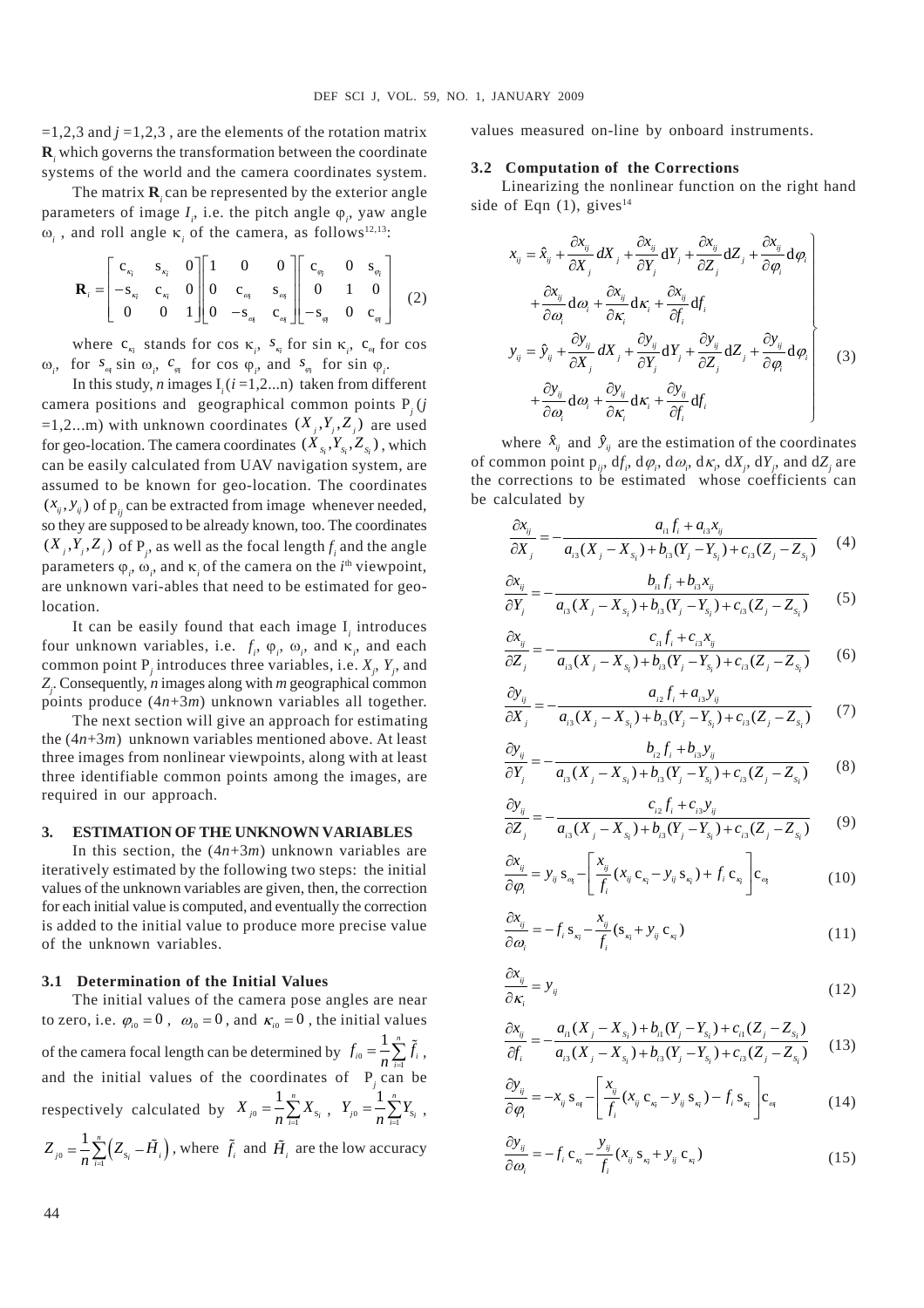$=1,2,3$  and  $j=1,2,3$ , are the elements of the rotation matrix **R***i* which governs the transformation between the coordinate systems of the world and the camera coordinates system.

The matrix **R**<sub>*i*</sub> can be represented by the exterior angle parameters of image  $I_i$ , i.e. the pitch angle  $\varphi_i$ , yaw angle  $\omega_i$ , and roll angle  $\kappa_i$  of the camera, as follows<sup>12,13</sup>:

$$
\mathbf{R}_{i} = \begin{bmatrix} c_{x_{i}} & s_{x_{i}} & 0 \\ -s_{x_{i}} & c_{x_{i}} & 0 \\ 0 & 0 & 1 \end{bmatrix} \begin{bmatrix} 1 & 0 & 0 \\ 0 & c_{\alpha_{i}} & s_{\alpha_{i}} \\ 0 & -s_{\alpha_{i}} & c_{\alpha_{i}} \end{bmatrix} \begin{bmatrix} c_{\varphi_{i}} & 0 & s_{\varphi_{i}} \\ 0 & 1 & 0 \\ -s_{\varphi_{i}} & 0 & c_{\varphi_{i}} \end{bmatrix}
$$
(2)

where  $c_{\kappa_i}$  stands for cos  $\kappa_i$ ,  $s_{\kappa_i}$  for sin  $\kappa_i$ ,  $c_{\kappa_i}$  for cos  $\omega_i$ , for  $s_{\alpha}$  sin  $\omega_i$ ,  $c_{\alpha}$  for cos  $\varphi_i$ , and  $s_{\alpha}$  for sin  $\varphi_i$ .

In this study, *n* images  $I_i$  ( $i = 1, 2...n$ ) taken from different camera positions and geographical common points P*j* (*j* =1,2...m) with unknown coordinates  $(X_i, Y_i, Z_j)$  are used for geo-location. The camera coordinates  $(X_{s_i}, Y_{s_i}, Z_{s_i})$ , which can be easily calculated from UAV navigation system, are assumed to be known for geo-location. The coordinates  $(x_{ij}, y_{ij})$  of p<sub>ij</sub> can be extracted from image whenever needed, so they are supposed to be already known, too. The coordinates  $(X_j, Y_j, Z_j)$  of P<sub>j</sub>, as well as the focal length  $f_i$  and the angle parameters  $\varphi_i$ ,  $\omega_i$ , and  $\kappa_i$  of the camera on the *i*<sup>th</sup> viewpoint, are unknown vari-ables that need to be estimated for geolocation.

It can be easily found that each image  $I_i$  introduces four unknown variables, i.e.  $f_i$ ,  $\varphi_i$ ,  $\omega_i$ , and  $\kappa_i$ , and each common point  $P_j$  introduces three variables, i.e.  $X_j$ ,  $Y_j$ , and *Zj* . Consequently, *n* images along with *m* geographical common points produce (4*n*+3*m*) unknown variables all together.

The next section will give an approach for estimating the (4*n*+3*m*) unknown variables mentioned above. At least three images from nonlinear viewpoints, along with at least three identifiable common points among the images, are required in our approach.

#### **3. ESTIMATION OF THE UNKNOWN VARIABLES**

In this section, the  $(4n+3m)$  unknown variables are iteratively estimated by the following two steps: the initial values of the unknown variables are given, then, the correction for each initial value is computed, and eventually the correction is added to the initial value to produce more precise value of the unknown variables.

#### **3.1 Determination of the Initial Values**

The initial values of the camera pose angles are near to zero, i.e.  $\varphi_{i0} = 0$ ,  $\omega_{i0} = 0$ , and  $\kappa_{i0} = 0$ , the initial values of the camera focal length can be determined by  $f_{i0} = -\sum_{i=1}^{n}$ 1 *<sup>n</sup>*  $f_{_{i0}} = \frac{1}{n} \sum_{i=1}^{n} \tilde{f}_{_i}$ , and the initial values of the coordinates of  $P_j$  can be respectively calculated by  $X_{j0} = -\sum_{i=1}^{N} X_{\rm s}$ 1 *<sup>n</sup>*  $X_{j0} = \frac{1}{n} \sum_{i=1} X_{S_i}$ ,  $Y_{j0} = \frac{1}{n} \sum_{i=1} Y_{S_i}$ 1 *<sup>n</sup>*  $Y_{j0} = -\frac{1}{n} \sum_{i=1}^{n} Y_{S_i}$ ,  $\tilde{\mathcal{L}}_{0} = \frac{1}{n} \sum_{i=1}^{n} (Z_{\text{S}_{i}} - \tilde{H}_{i})$ 1 *<sup>n</sup>*  $Z_{j0} = \frac{1}{n} \sum_{i=1}^{n} (Z_{s_i} - \tilde{H}_i)$ , where  $\tilde{f}_i$  and  $\tilde{H}_i$  are the low accuracy

values measured on-line by onboard instruments.

#### **3.2 Computation of the Corrections**

Linearizing the nonlinear function on the right hand side of Eqn  $(1)$ , gives<sup>14</sup>

$$
x_{ij} = \hat{x}_{ij} + \frac{\partial x_{ij}}{\partial X_j} dX_j + \frac{\partial x_{ij}}{\partial Y_j} dY_j + \frac{\partial x_{ij}}{\partial Z_j} dZ_j + \frac{\partial x_{ij}}{\partial \varphi_i} d\varphi_i
$$
  
+ 
$$
\frac{\partial x_{ij}}{\partial \varphi_i} d\varphi_i + \frac{\partial x_{ij}}{\partial K_i} dK_i + \frac{\partial x_{ij}}{\partial f_i} df_i
$$
  

$$
y_{ij} = \hat{y}_{ij} + \frac{\partial y_{ij}}{\partial X_j} dX_j + \frac{\partial y_{ij}}{\partial Y_j} dY_j + \frac{\partial y_{ij}}{\partial Z_j} dZ_j + \frac{\partial y_{ij}}{\partial \varphi_i} d\varphi_i
$$
  
+ 
$$
\frac{\partial y_{ij}}{\partial \varphi_i} d\varphi_i + \frac{\partial y_{ij}}{\partial K_i} dK_i + \frac{\partial y_{ij}}{\partial f_i} df_i
$$
(3)

where  $\hat{x}_{ij}$  and  $\hat{y}_{ij}$  are the estimation of the coordinates of common point  $p_{ij}$ ,  $df_i$ ,  $d\varphi_i$ ,  $d\omega_i$ ,  $d\kappa_i$ ,  $dX_j$ ,  $dY_j$ , and  $dZ_j$  are the corrections to be estimated whose coefficients can be calculated by

$$
\frac{\partial x_{ij}}{\partial X_j} = -\frac{a_{i1}f_i + a_{i3}x_{ij}}{a_{i3}(X_j - X_{s_i}) + b_{i3}(Y_j - Y_{s_i}) + c_{i3}(Z_j - Z_{s_i})}
$$
(4)

$$
\frac{\partial x_{ij}}{\partial Y_j} = -\frac{b_{i1}f_i + b_{i3}x_{ij}}{a_{i3}(X_j - X_{s_i}) + b_{i3}(Y_j - Y_{s_i}) + c_{i3}(Z_j - Z_{s_i})}
$$
(5)

$$
\frac{\partial x_{ij}}{\partial Z_j} = -\frac{c_{i1}f_i + c_{i3}x_{ij}}{a_{i3}(X_j - X_{s_i}) + b_{i3}(Y_j - Y_{s_i}) + c_{i3}(Z_j - Z_{s_i})}
$$
(6)

$$
\frac{\partial y_{ij}}{\partial X_j} = -\frac{a_{i2}f_i + a_{i3}y_{ij}}{a_{i3}(X_j - X_{s_i}) + b_{i3}(Y_j - Y_{s_i}) + c_{i3}(Z_j - Z_{s_i})}
$$
(7)

$$
\frac{\partial y_{ij}}{\partial Y_j} = -\frac{b_{i2}f_i + b_{i3}y_{ij}}{a_{i3}(X_j - X_{s_i}) + b_{i3}(Y_j - Y_{s_i}) + c_{i3}(Z_j - Z_{s_i})}
$$
(8)

$$
\frac{\partial y_{ij}}{\partial Z_j} = -\frac{c_{i2}f_i + c_{i3}y_{ij}}{a_{i3}(X_j - X_{s_i}) + b_{i3}(Y_j - Y_{s_i}) + c_{i3}(Z_j - Z_{s_i})}
$$
(9)

$$
\frac{\partial x_{ij}}{\partial \varphi_i} = y_{ij} \,\mathrm{s}_{\alpha_i} - \left[ \frac{x_{ij}}{f_i} (x_{ij} \,\mathrm{c}_{\kappa_i} - y_{ij} \,\mathrm{s}_{\kappa_i}) + f_i \,\mathrm{c}_{\kappa_i} \right] \mathrm{c}_{\alpha_i} \tag{10}
$$

$$
\frac{\partial x_{ij}}{\partial \omega_i} = -f_i \, \mathbf{s}_{\kappa_i} - \frac{x_{ij}}{f_i} (\mathbf{s}_{\kappa_i} + y_{ij} \, \mathbf{c}_{\kappa_i}) \tag{11}
$$

$$
\frac{\partial x_{ij}}{\partial \kappa_i} = y_{ij} \tag{12}
$$

$$
\frac{\partial x_{ij}}{\partial f_i} = -\frac{a_{i1}(X_j - X_{s_i}) + b_{i1}(Y_j - Y_{s_i}) + c_{i1}(Z_j - Z_{s_i})}{a_{i3}(X_j - X_{s_i}) + b_{i3}(Y_j - Y_{s_i}) + c_{i3}(Z_j - Z_{s_i})}
$$
(13)

$$
\frac{\partial y_{ij}}{\partial \varphi_i} = -x_{ij} \, \mathbf{s}_{\alpha_i} - \left[ \frac{x_{ij}}{f_i} \left( x_{ij} \, \mathbf{c}_{\alpha_i} - y_{ij} \, \mathbf{s}_{\alpha_i} \right) - f_i \, \mathbf{s}_{\alpha_i} \right] \mathbf{c}_{\alpha_i} \tag{14}
$$

$$
\frac{\partial y_{ij}}{\partial \omega_i} = -f_i \mathbf{c}_{\kappa_i} - \frac{y_{ij}}{f_i} (x_{ij} \mathbf{s}_{\kappa_i} + y_{ij} \mathbf{c}_{\kappa_i})
$$
(15)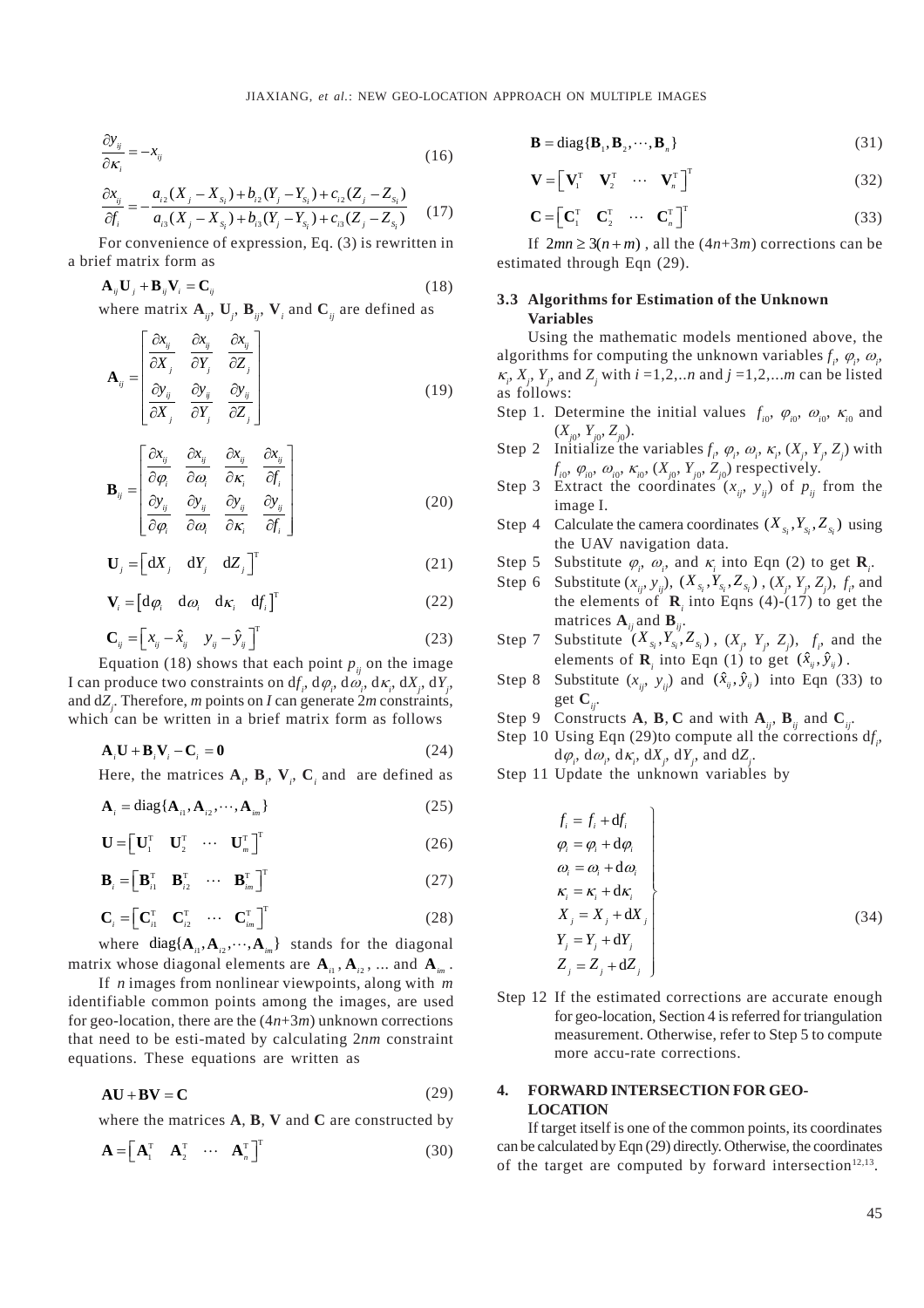$$
\frac{\partial y_{ij}}{\partial \kappa_i} = -x_{ij} \tag{16}
$$

$$
\frac{\partial x_{ij}}{\partial f_i} = -\frac{a_{i2}(X_j - X_{s_i}) + b_{i2}(Y_j - Y_{s_i}) + c_{i2}(Z_j - Z_{s_i})}{a_{i3}(X_j - X_{s_i}) + b_{i3}(Y_j - Y_{s_i}) + c_{i3}(Z_j - Z_{s_i})}
$$
(17)

For convenience of expression, Eq.  $(3)$  is rewritten in a brief matrix form as

$$
\mathbf{A}_{ij}\mathbf{U}_{j} + \mathbf{B}_{ij}\mathbf{V}_{i} = \mathbf{C}_{ij}
$$
 (18)

where matrix  $A_{ij}$ ,  $U_j$ ,  $B_{ij}$ ,  $V_j$  and  $C_{ij}$  are defined as

$$
\mathbf{A}_{ij} = \begin{bmatrix} \frac{\partial x_{ij}}{\partial X_j} & \frac{\partial x_{ij}}{\partial Y_j} & \frac{\partial x_{ij}}{\partial Z_j} \\ \frac{\partial y_{ij}}{\partial X_j} & \frac{\partial y_{ij}}{\partial Y_j} & \frac{\partial y_{ij}}{\partial Z_j} \end{bmatrix}
$$
(19)

$$
\mathbf{B}_{ij} = \begin{bmatrix} \frac{\partial x_{ij}}{\partial \varphi_i} & \frac{\partial x_{ij}}{\partial \varphi_i} & \frac{\partial x_{ij}}{\partial \kappa_i} & \frac{\partial x_{ij}}{\partial f_i} \\ \frac{\partial y_{ij}}{\partial \varphi_i} & \frac{\partial y_{ij}}{\partial \varphi_i} & \frac{\partial y_{ij}}{\partial \kappa_i} & \frac{\partial y_{ij}}{\partial f_i} \end{bmatrix}
$$
(20)

$$
\mathbf{U}_{j} = \begin{bmatrix} dX_{j} & dY_{j} & dZ_{j} \end{bmatrix}^{T}
$$
 (21)

$$
\mathbf{V}_{i} = \begin{bmatrix} \mathbf{d}\varphi_{i} & \mathbf{d}\omega_{i} & \mathbf{d}\kappa_{i} & \mathbf{d}f_{i} \end{bmatrix}^{\mathrm{T}}
$$
 (22)

$$
\mathbf{C}_{ij} = \begin{bmatrix} x_{ij} - \hat{x}_{ij} & y_{ij} - \hat{y}_{ij} \end{bmatrix}^{\mathrm{T}}
$$
\n(23)

Equation (18) shows that each point  $p_{ii}$  on the image I can produce two constraints on  $df_1$ ,  $d\varphi_1$ ,  $d\omega_1$ ,  $d\kappa_1$ ,  $dX_1$ ,  $dY_1$ , and  $dZ$ . Therefore, *m* points on *I* can generate  $2m$  constraints, which can be written in a brief matrix form as follows

$$
\mathbf{A}_i \mathbf{U} + \mathbf{B}_i \mathbf{V}_i - \mathbf{C}_i = \mathbf{0} \tag{24}
$$

Here, the matrices  $A_{i}$ ,  $B_{i}$ ,  $V_{i}$ ,  $C_{i}$  and are defined as

$$
\mathbf{A}_{i} = \text{diag}\{\mathbf{A}_{i1}, \mathbf{A}_{i2}, \cdots, \mathbf{A}_{im}\}\
$$
 (25)

$$
\mathbf{U} = \begin{bmatrix} \mathbf{U}_1^{\mathrm{T}} & \mathbf{U}_2^{\mathrm{T}} & \cdots & \mathbf{U}_m^{\mathrm{T}} \end{bmatrix}^{\mathrm{T}}
$$
 (26)

$$
\mathbf{B}_{i} = \begin{bmatrix} \mathbf{B}_{i1}^{T} & \mathbf{B}_{i2}^{T} & \cdots & \mathbf{B}_{im}^{T} \end{bmatrix}^{T}
$$
 (27)

$$
\mathbf{C}_{i} = \begin{bmatrix} \mathbf{C}_{i1}^{\mathrm{T}} & \mathbf{C}_{i2}^{\mathrm{T}} & \cdots & \mathbf{C}_{im}^{\mathrm{T}} \end{bmatrix}^{\mathrm{T}}
$$
 (28)

where diag{ $A_{i1}, A_{i2}, \dots, A_{im}$ } stands for the diagonal matrix whose diagonal elements are  $A_{n}$ ,  $A_{n}$ , ... and  $A_{n}$ .

If  $n$  images from nonlinear viewpoints, along with  $m$ identifiable common points among the images, are used for geo-location, there are the  $(4n+3m)$  unknown corrections that need to be esti-mated by calculating  $2nm$  constraint equations. These equations are written as

$$
AU + BV = C \tag{29}
$$

where the matrices  $A$ ,  $B$ ,  $V$  and  $C$  are constructed by

$$
\mathbf{A} = \begin{bmatrix} \mathbf{A}_1^T & \mathbf{A}_2^T & \cdots & \mathbf{A}_n^T \end{bmatrix}^T
$$
 (30)

$$
\mathbf{B} = \text{diag}\{\mathbf{B}_1, \mathbf{B}_2, \cdots, \mathbf{B}_n\}
$$
 (31)

$$
\mathbf{V} = \begin{bmatrix} \mathbf{V}_1^{\mathrm{T}} & \mathbf{V}_2^{\mathrm{T}} & \cdots & \mathbf{V}_n^{\mathrm{T}} \end{bmatrix}^{\mathrm{T}}
$$
(32)

$$
\mathbf{C} = \begin{bmatrix} \mathbf{C}_1^{\mathrm{T}} & \mathbf{C}_2^{\mathrm{T}} & \cdots & \mathbf{C}_n^{\mathrm{T}} \end{bmatrix}^{\mathrm{T}}
$$
(33)

If  $2mn \ge 3(n+m)$ , all the  $(4n+3m)$  corrections can be estimated through Eqn (29).

## 3.3 Algorithms for Estimation of the Unknown **Variables**

Using the mathematic models mentioned above, the algorithms for computing the unknown variables  $f_1$ ,  $\varphi_2$ ,  $\omega_3$ ,  $\kappa$ ,  $X$ ,  $Y$ , and  $Z$ , with  $i = 1, 2, \dots n$  and  $j = 1, 2, \dots m$  can be listed as follows:

- Step 1. Determine the initial values  $f_{i0}$ ,  $\varphi_{i0}$ ,  $\varphi_{i0}$ ,  $\kappa_{i0}$  and  $(X_{i0}, Y_{i0}, Z_{i0}).$
- Step 2 Initialize the variables  $f_i$ ,  $\varphi_i$ ,  $\omega_i$ ,  $\kappa_i$ ,  $(X_i, Y_i, Z_i)$  with  $f_{i0}, \varphi_{i0}, \omega_{i0}, \kappa_{i0}, (X_{j0}, Y_{j0}, Z_{i0})$  respectively.
- Step 3 Extract the coordinates  $(x_{ij}, y_{ij})$  of  $p_{ij}$  from the image I.
- Step 4 Calculate the camera coordinates  $(X_s, Y_s, Z_s)$  using the UAV navigation data.

Step 5 Substitute 
$$
\varphi
$$
,  $\omega$ , and  $\kappa$  into Eqn (2) to get  $\mathbf{R}$ .

- Step 6 Substitute  $(x_{ij}, y_{ij})$ ,  $(X_{s_i}, Y_{s_i}, Z_{s_i})$ ,  $(X_j, Y_j, Z_j)$ ,  $f_i$ , and the elements of  $\mathbf{R}_i$  into Eqns (4)-(17) to get the matrices  $\mathbf{A}_{ij}$  and  $\mathbf{B}_{ij}$ .
- Substitute  $(X_{s_i}, Y_{s_i}, Z_{s_i})$ ,  $(X_j, Y_j, Z_j)$ ,  $f_i$ , and the Step 7 elements of **R**, into Eqn (1) to get  $(\hat{x}_{ij}, \hat{y}_{ij})$ .
- Step 8 Substitute  $(x_{ij}, y_{ij})$  and  $(\hat{x}_{ij}, \hat{y}_{ij})$  into Eqn (33) to get  $\mathbf{C}_{ii}$ .
- Step 9 Constructs A, B, C and with  $A_{ii}$ , B<sub>ii</sub> and C<sub>ii</sub>.
- Step 10 Using Eqn (29)to compute all the corrections  $df_1$ ,  $d\varphi_i, d\omega_i, d\kappa_i, dX_i, dY_i$ , and  $dZ_i$ .
- Step 11 Update the unknown variables by

$$
f_i = f_i + df_i
$$
  
\n
$$
\varphi_i = \varphi_i + d\varphi_i
$$
  
\n
$$
\varphi_i = \varphi_i + d\varphi_i
$$
  
\n
$$
\kappa_i = \kappa_i + d\kappa_i
$$
  
\n
$$
X_j = X_j + dX_j
$$
  
\n
$$
Y_j = Y_j + dY_j
$$
  
\n
$$
Z_j = Z_j + dZ_j
$$
\n(34)

Step 12 If the estimated corrections are accurate enough for geo-location, Section 4 is referred for triangulation measurement. Otherwise, refer to Step 5 to compute more accu-rate corrections.

## 4. FORWARD INTERSECTION FOR GEO-**LOCATION**

If target itself is one of the common points, its coordinates can be calculated by Eqn (29) directly. Otherwise, the coordinates of the target are computed by forward intersection<sup>12,13</sup>.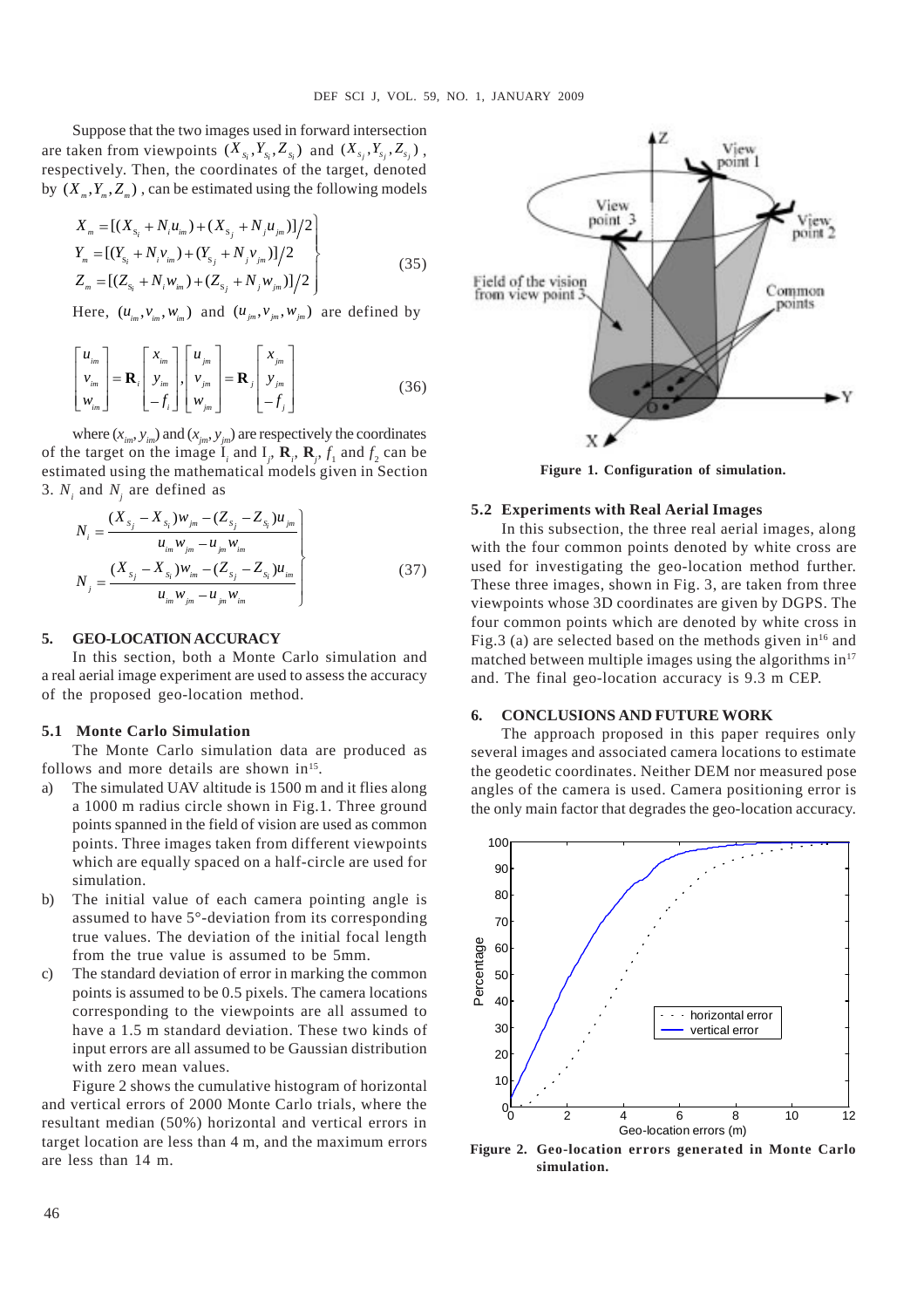Suppose that the two images used in forward intersection are taken from viewpoints  $(X_{s_i}, Y_{s_i}, Z_{s_i})$  and  $(X_{s_i}, Y_{s_i}, Z_{s_i})$ , respectively. Then, the coordinates of the target, denoted by  $(X_{\mu}, Y_{\mu}, Z_{\mu})$ , can be estimated using the following models

$$
X_{m} = [(X_{s_i} + N_i u_{im}) + (X_{s_j} + N_j u_{jm})]/2
$$
  
\n
$$
Y_{m} = [(Y_{s_i} + N_i v_{im}) + (Y_{s_j} + N_j v_{jm})]/2
$$
  
\n
$$
Z_{m} = [(Z_{s_i} + N_i w_{im}) + (Z_{s_j} + N_j w_{jm})]/2
$$
\n(35)

Here,  $(u_{i_m}, v_{i_m}, w_{i_m})$  and  $(u_{i_m}, v_{i_m}, w_{i_m})$  are defined by

$$
\begin{bmatrix} u_{im} \\ v_{im} \\ w_{im} \end{bmatrix} = \mathbf{R}_i \begin{bmatrix} x_{im} \\ y_{im} \\ -f_i \end{bmatrix} \begin{bmatrix} u_{jm} \\ v_{jm} \\ w_{jm} \end{bmatrix} = \mathbf{R}_j \begin{bmatrix} x_{jm} \\ y_{jm} \\ -f_j \end{bmatrix}
$$
 (36)

where  $(x_{im}, y_{im})$  and  $(x_{jm}, y_{jm})$  are respectively the coordinates of the target on the image  $\mathbf{I}_i$  and  $\mathbf{I}_j$ ,  $\mathbf{R}_i$ ,  $\mathbf{R}_j$ ,  $f_1$  and  $f_2$  can be estimated using the mathematical models given in Section 3.  $N_i$  and  $N_j$  are defined as

$$
N_{i} = \frac{(X_{s_{j}} - X_{s_{i}})w_{jm} - (Z_{s_{j}} - Z_{s_{i}})u_{jm}}{u_{im}w_{jm} - u_{jm}w_{im}}
$$
  

$$
N_{j} = \frac{(X_{s_{j}} - X_{s_{i}})w_{im} - (Z_{s_{j}} - Z_{s_{i}})u_{im}}{u_{im}w_{jm} - u_{jm}w_{im}}
$$
 (37)

## **5. GEO-LOCATION ACCURACY**

In this section, both a Monte Carlo simulation and a real aerial image experiment are used to assess the accuracy of the proposed geo-location method.

#### **5.1 Monte Carlo Simulation**

The Monte Carlo simulation data are produced as follows and more details are shown in<sup>15</sup>.

- a) The simulated UAV altitude is 1500 m and it flies along a 1000 m radius circle shown in Fig.1. Three ground points spanned in the field of vision are used as common points. Three images taken from different viewpoints which are equally spaced on a half-circle are used for simulation.
- b) The initial value of each camera pointing angle is assumed to have 5°-deviation from its corresponding true values. The deviation of the initial focal length from the true value is assumed to be 5mm.
- c) The standard deviation of error in marking the common points is assumed to be 0.5 pixels. The camera locations corresponding to the viewpoints are all assumed to have a 1.5 m standard deviation. These two kinds of input errors are all assumed to be Gaussian distribution with zero mean values.

Figure 2 shows the cumulative histogram of horizontal and vertical errors of 2000 Monte Carlo trials, where the resultant median (50%) horizontal and vertical errors in target location are less than 4 m, and the maximum errors are less than 14 m.



**Figure 1. Configuration of simulation.**

#### **5.2 Experiments with Real Aerial Images**

In this subsection, the three real aerial images, along with the four common points denoted by white cross are used for investigating the geo-location method further. These three images, shown in Fig. 3, are taken from three viewpoints whose 3D coordinates are given by DGPS. The four common points which are denoted by white cross in Fig.3 (a) are selected based on the methods given  $in^{16}$  and matched between multiple images using the algorithms  $in<sup>17</sup>$ and. The final geo-location accuracy is 9.3 m CEP.

## **6. CONCLUSIONS AND FUTURE WORK**

The approach proposed in this paper requires only several images and associated camera locations to estimate the geodetic coordinates. Neither DEM nor measured pose angles of the camera is used. Camera positioning error is the only main factor that degrades the geo-location accuracy.



**Figure 2. Geo-location errors generated in Monte Carlo simulation.**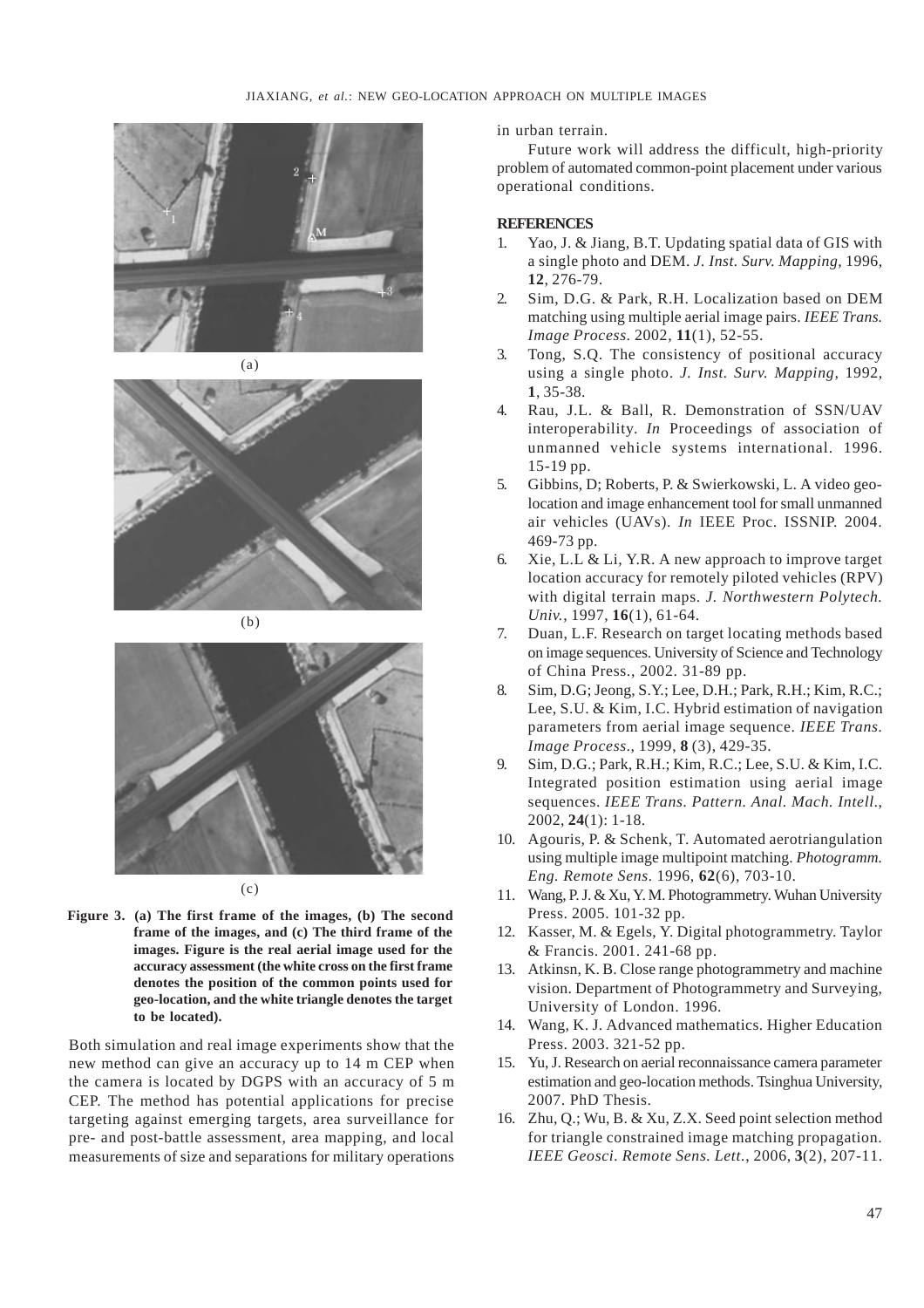



(b)



**Figure 3. (a) The first frame of the images, (b) The second frame of the images, and (c) The third frame of the images. Figure is the real aerial image used for the accuracy assessment (the white cross on the first frame denotes the position of the common points used for geo-location, and the white triangle denotes the target to be located).**

Both simulation and real image experiments show that the new method can give an accuracy up to 14 m CEP when the camera is located by DGPS with an accuracy of 5 m CEP. The method has potential applications for precise targeting against emerging targets, area surveillance for pre- and post-battle assessment, area mapping, and local measurements of size and separations for military operations in urban terrain.

Future work will address the difficult, high-priority problem of automated common-point placement under various operational conditions.

# **REFERENCES**

- 1. Yao, J. & Jiang, B.T. Updating spatial data of GIS with a single photo and DEM. *J. Inst. Surv. Mapping*, 1996, **12**, 276-79.
- 2. Sim, D.G. & Park, R.H. Localization based on DEM matching using multiple aerial image pairs. *IEEE Trans. Image Process*. 2002, **11**(1), 52-55.
- 3. Tong, S.Q. The consistency of positional accuracy using a single photo. *J. Inst. Surv. Mapping*, 1992, **1**, 35-38.
- 4. Rau, J.L. & Ball, R. Demonstration of SSN/UAV interoperability. *In* Proceedings of association of unmanned vehicle systems international. 1996. 15-19 pp.
- 5. Gibbins, D; Roberts, P. & Swierkowski, L. A video geolocation and image enhancement tool for small unmanned air vehicles (UAVs). *In* IEEE Proc. ISSNIP. 2004. 469-73 pp.
- 6. Xie, L.L & Li, Y.R. A new approach to improve target location accuracy for remotely piloted vehicles (RPV) with digital terrain maps. *J. Northwestern Polytech. Univ.*, 1997, **16**(1), 61-64.
- 7. Duan, L.F. Research on target locating methods based on image sequences. University of Science and Technology of China Press., 2002. 31-89 pp.
- 8. Sim, D.G; Jeong, S.Y.; Lee, D.H.; Park, R.H.; Kim, R.C.; Lee, S.U. & Kim, I.C. Hybrid estimation of navigation parameters from aerial image sequence. *IEEE Trans. Image Process.*, 1999, **8** (3), 429-35.
- 9. Sim, D.G.; Park, R.H.; Kim, R.C.; Lee, S.U. & Kim, I.C. Integrated position estimation using aerial image sequences. *IEEE Trans. Pattern. Anal. Mach. Intell.*, 2002, **24**(1): 1-18.
- 10. Agouris, P. & Schenk, T. Automated aerotriangulation using multiple image multipoint matching. *Photogramm. Eng. Remote Sens.* 1996, **62**(6), 703-10.
- 11. Wang, P. J. & Xu, Y. M. Photogrammetry. Wuhan University Press. 2005. 101-32 pp.
- 12. Kasser, M. & Egels, Y. Digital photogrammetry. Taylor & Francis. 2001. 241-68 pp.
- 13. Atkinsn, K. B. Close range photogrammetry and machine vision. Department of Photogrammetry and Surveying, University of London. 1996.
- 14. Wang, K. J. Advanced mathematics. Higher Education Press. 2003. 321-52 pp.
- 15. Yu, J. Research on aerial reconnaissance camera parameter estimation and geo-location methods. Tsinghua University, 2007. PhD Thesis.
- 16. Zhu, Q.; Wu, B. & Xu, Z.X. Seed point selection method for triangle constrained image matching propagation. *IEEE Geosci. Remote Sens. Lett.*, 2006, **3**(2), 207-11.